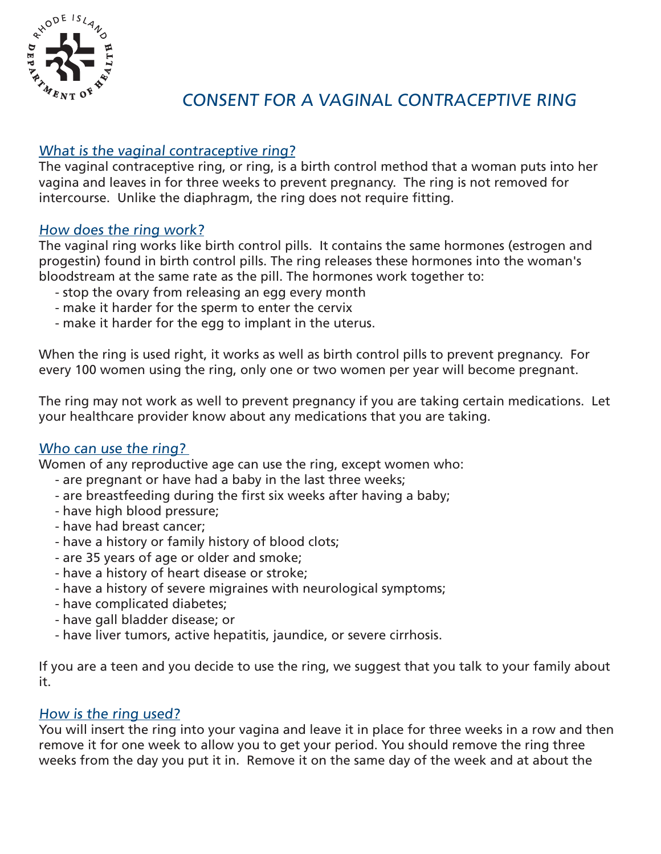

# CONSENT FOR A VAGINAL CONTRACEPTIVE RING

## What is the vaginal contraceptive ring?

The vaginal contraceptive ring, or ring, is a birth control method that a woman puts into her vagina and leaves in for three weeks to prevent pregnancy. The ring is not removed for intercourse. Unlike the diaphragm, the ring does not require fitting.

#### How does the ring work?

The vaginal ring works like birth control pills. It contains the same hormones (estrogen and progestin) found in birth control pills. The ring releases these hormones into the woman's bloodstream at the same rate as the pill. The hormones work together to:

- stop the ovary from releasing an egg every month
- make it harder for the sperm to enter the cervix
- make it harder for the egg to implant in the uterus.

When the ring is used right, it works as well as birth control pills to prevent pregnancy. For every 100 women using the ring, only one or two women per year will become pregnant.

The ring may not work as well to prevent pregnancy if you are taking certain medications. Let your healthcare provider know about any medications that you are taking.

#### Who can use the ring?

Women of any reproductive age can use the ring, except women who:

- are pregnant or have had a baby in the last three weeks;
- are breastfeeding during the first six weeks after having a baby;
- have high blood pressure;
- have had breast cancer;
- have a history or family history of blood clots;
- are 35 years of age or older and smoke;
- have a history of heart disease or stroke;
- have a history of severe migraines with neurological symptoms;
- have complicated diabetes;
- have gall bladder disease; or
- have liver tumors, active hepatitis, jaundice, or severe cirrhosis.

If you are a teen and you decide to use the ring, we suggest that you talk to your family about it.

#### How is the ring used?

You will insert the ring into your vagina and leave it in place for three weeks in a row and then remove it for one week to allow you to get your period. You should remove the ring three weeks from the day you put it in. Remove it on the same day of the week and at about the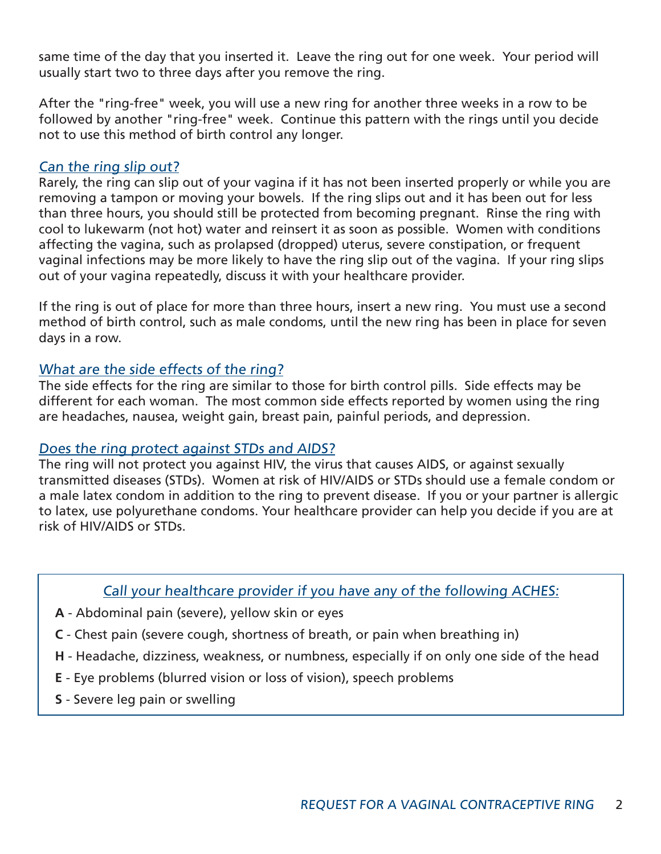same time of the day that you inserted it. Leave the ring out for one week. Your period will usually start two to three days after you remove the ring.

After the "ring-free" week, you will use a new ring for another three weeks in a row to be followed by another "ring-free" week. Continue this pattern with the rings until you decide not to use this method of birth control any longer.

#### Can the ring slip out?

Rarely, the ring can slip out of your vagina if it has not been inserted properly or while you are removing a tampon or moving your bowels. If the ring slips out and it has been out for less than three hours, you should still be protected from becoming pregnant. Rinse the ring with cool to lukewarm (not hot) water and reinsert it as soon as possible. Women with conditions affecting the vagina, such as prolapsed (dropped) uterus, severe constipation, or frequent vaginal infections may be more likely to have the ring slip out of the vagina. If your ring slips out of your vagina repeatedly, discuss it with your healthcare provider.

If the ring is out of place for more than three hours, insert a new ring. You must use a second method of birth control, such as male condoms, until the new ring has been in place for seven days in a row.

## What are the side effects of the ring?

The side effects for the ring are similar to those for birth control pills. Side effects may be different for each woman. The most common side effects reported by women using the ring are headaches, nausea, weight gain, breast pain, painful periods, and depression.

## Does the ring protect against STDs and AIDS?

The ring will not protect you against HIV, the virus that causes AIDS, or against sexually transmitted diseases (STDs). Women at risk of HIV/AIDS or STDs should use a female condom or a male latex condom in addition to the ring to prevent disease. If you or your partner is allergic to latex, use polyurethane condoms. Your healthcare provider can help you decide if you are at risk of HIV/AIDS or STDs.

## Call your healthcare provider if you have any of the following ACHES:

- **A** Abdominal pain (severe), yellow skin or eyes
- **C** Chest pain (severe cough, shortness of breath, or pain when breathing in)
- **H** Headache, dizziness, weakness, or numbness, especially if on only one side of the head
- **E** Eye problems (blurred vision or loss of vision), speech problems
- **S** Severe leg pain or swelling